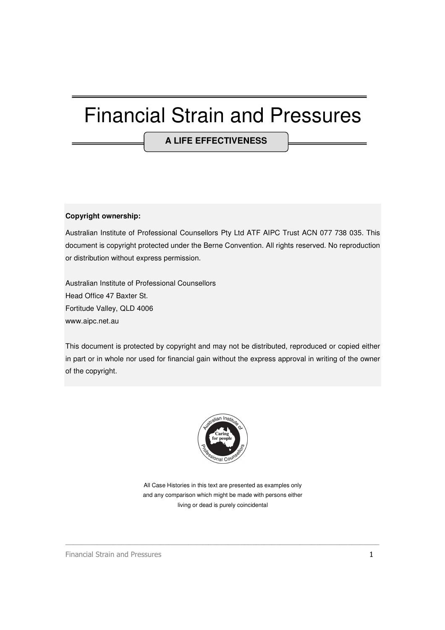# Financial Strain and Pressures

**A LIFE EFFECTIVENESS** 

#### **Copyright ownership:**

Australian Institute of Professional Counsellors Pty Ltd ATF AIPC Trust ACN 077 738 035. This document is copyright protected under the Berne Convention. All rights reserved. No reproduction or distribution without express permission.

Australian Institute of Professional Counsellors Head Office 47 Baxter St. Fortitude Valley, QLD 4006 www.aipc.net.au

This document is protected by copyright and may not be distributed, reproduced or copied either in part or in whole nor used for financial gain without the express approval in writing of the owner of the copyright.



All Case Histories in this text are presented as examples only and any comparison which might be made with persons either living or dead is purely coincidental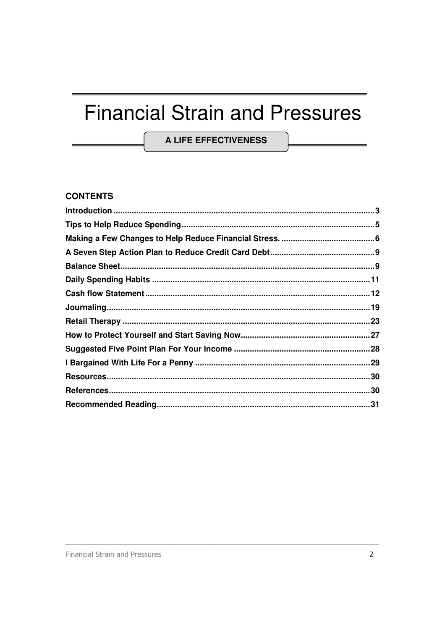# **Financial Strain and Pressures**

**A LIFE EFFECTIVENESS** 

### **CONTENTS**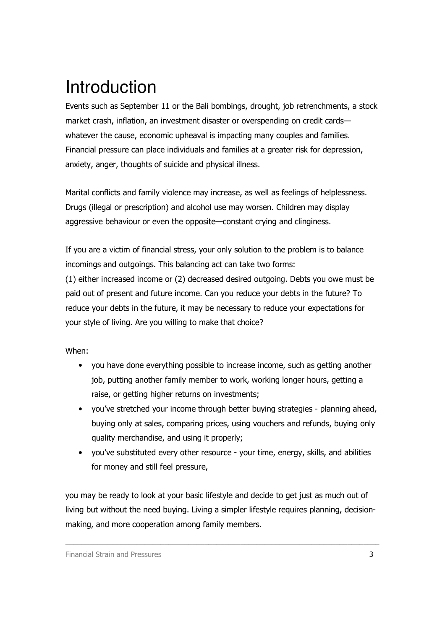# Introduction

Events such as September 11 or the Bali bombings, drought, job retrenchments, a stock market crash, inflation, an investment disaster or overspending on credit cards whatever the cause, economic upheaval is impacting many couples and families. Financial pressure can place individuals and families at a greater risk for depression, anxiety, anger, thoughts of suicide and physical illness.

Marital conflicts and family violence may increase, as well as feelings of helplessness. Drugs (illegal or prescription) and alcohol use may worsen. Children may display aggressive behaviour or even the opposite—constant crying and clinginess.

If you are a victim of financial stress, your only solution to the problem is to balance incomings and outgoings. This balancing act can take two forms: (1) either increased income or (2) decreased desired outgoing. Debts you owe must be paid out of present and future income. Can you reduce your debts in the future? To reduce your debts in the future, it may be necessary to reduce your expectations for your style of living. Are you willing to make that choice?

When:

- you have done everything possible to increase income, such as getting another job, putting another family member to work, working longer hours, getting a raise, or getting higher returns on investments;
- you've stretched your income through better buying strategies planning ahead, buying only at sales, comparing prices, using vouchers and refunds, buying only quality merchandise, and using it properly;
- you've substituted every other resource your time, energy, skills, and abilities for money and still feel pressure,

you may be ready to look at your basic lifestyle and decide to get just as much out of living but without the need buying. Living a simpler lifestyle requires planning, decisionmaking, and more cooperation among family members.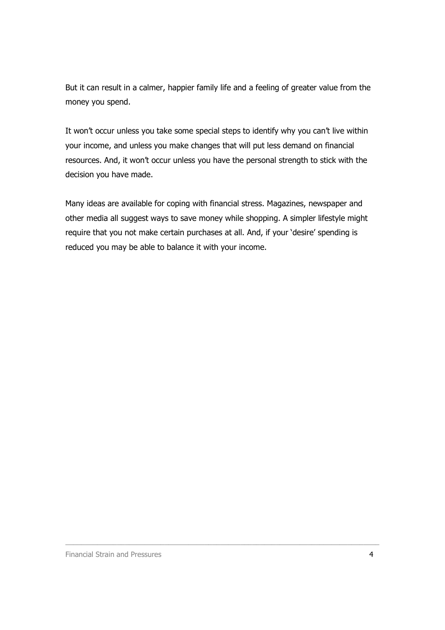But it can result in a calmer, happier family life and a feeling of greater value from the money you spend.

It won't occur unless you take some special steps to identify why you can't live within your income, and unless you make changes that will put less demand on financial resources. And, it won't occur unless you have the personal strength to stick with the decision you have made.

Many ideas are available for coping with financial stress. Magazines, newspaper and other media all suggest ways to save money while shopping. A simpler lifestyle might require that you not make certain purchases at all. And, if your 'desire' spending is reduced you may be able to balance it with your income.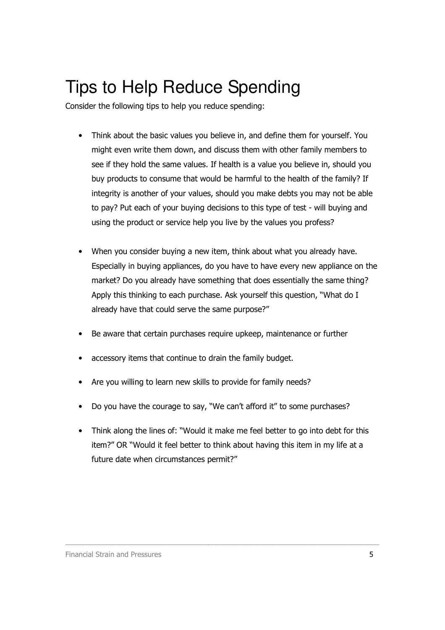# Tips to Help Reduce Spending

Consider the following tips to help you reduce spending:

- Think about the basic values you believe in, and define them for yourself. You might even write them down, and discuss them with other family members to see if they hold the same values. If health is a value you believe in, should you buy products to consume that would be harmful to the health of the family? If integrity is another of your values, should you make debts you may not be able to pay? Put each of your buying decisions to this type of test - will buying and using the product or service help you live by the values you profess?
- When you consider buying a new item, think about what you already have. Especially in buying appliances, do you have to have every new appliance on the market? Do you already have something that does essentially the same thing? Apply this thinking to each purchase. Ask yourself this question, "What do I already have that could serve the same purpose?"
- Be aware that certain purchases require upkeep, maintenance or further
- accessory items that continue to drain the family budget.
- Are you willing to learn new skills to provide for family needs?
- Do you have the courage to say, "We can't afford it" to some purchases?
- Think along the lines of: "Would it make me feel better to go into debt for this item?" OR "Would it feel better to think about having this item in my life at a future date when circumstances permit?"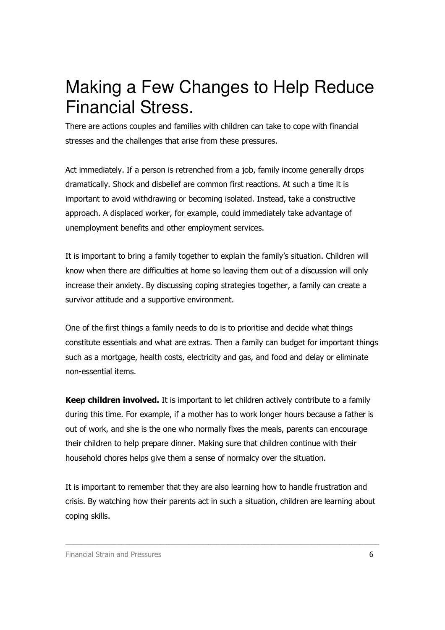# Making a Few Changes to Help Reduce Financial Stress.

There are actions couples and families with children can take to cope with financial stresses and the challenges that arise from these pressures.

Act immediately. If a person is retrenched from a job, family income generally drops dramatically. Shock and disbelief are common first reactions. At such a time it is important to avoid withdrawing or becoming isolated. Instead, take a constructive approach. A displaced worker, for example, could immediately take advantage of unemployment benefits and other employment services.

It is important to bring a family together to explain the family's situation. Children will know when there are difficulties at home so leaving them out of a discussion will only increase their anxiety. By discussing coping strategies together, a family can create a survivor attitude and a supportive environment.

One of the first things a family needs to do is to prioritise and decide what things constitute essentials and what are extras. Then a family can budget for important things such as a mortgage, health costs, electricity and gas, and food and delay or eliminate non-essential items.

Keep children involved. It is important to let children actively contribute to a family during this time. For example, if a mother has to work longer hours because a father is out of work, and she is the one who normally fixes the meals, parents can encourage their children to help prepare dinner. Making sure that children continue with their household chores helps give them a sense of normalcy over the situation.

It is important to remember that they are also learning how to handle frustration and crisis. By watching how their parents act in such a situation, children are learning about coping skills.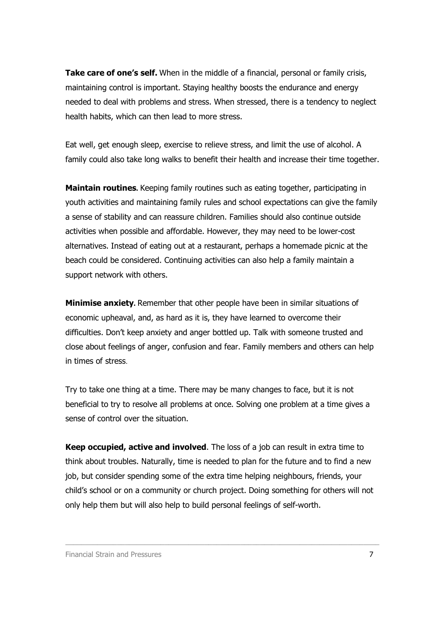Take care of one's self. When in the middle of a financial, personal or family crisis, maintaining control is important. Staying healthy boosts the endurance and energy needed to deal with problems and stress. When stressed, there is a tendency to neglect health habits, which can then lead to more stress.

Eat well, get enough sleep, exercise to relieve stress, and limit the use of alcohol. A family could also take long walks to benefit their health and increase their time together.

Maintain routines**.** Keeping family routines such as eating together, participating in youth activities and maintaining family rules and school expectations can give the family a sense of stability and can reassure children. Families should also continue outside activities when possible and affordable. However, they may need to be lower-cost alternatives. Instead of eating out at a restaurant, perhaps a homemade picnic at the beach could be considered. Continuing activities can also help a family maintain a support network with others.

Minimise anxiety**.** Remember that other people have been in similar situations of economic upheaval, and, as hard as it is, they have learned to overcome their difficulties. Don't keep anxiety and anger bottled up. Talk with someone trusted and close about feelings of anger, confusion and fear. Family members and others can help in times of stress.

Try to take one thing at a time. There may be many changes to face, but it is not beneficial to try to resolve all problems at once. Solving one problem at a time gives a sense of control over the situation.

Keep occupied, active and involved. The loss of a job can result in extra time to think about troubles. Naturally, time is needed to plan for the future and to find a new job, but consider spending some of the extra time helping neighbours, friends, your child's school or on a community or church project. Doing something for others will not only help them but will also help to build personal feelings of self-worth.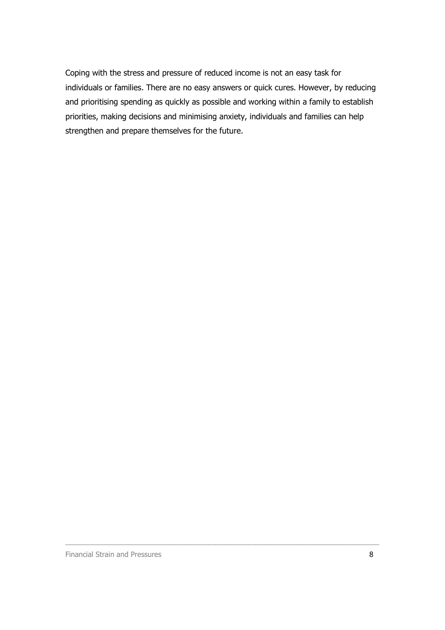Coping with the stress and pressure of reduced income is not an easy task for individuals or families. There are no easy answers or quick cures. However, by reducing and prioritising spending as quickly as possible and working within a family to establish priorities, making decisions and minimising anxiety, individuals and families can help strengthen and prepare themselves for the future.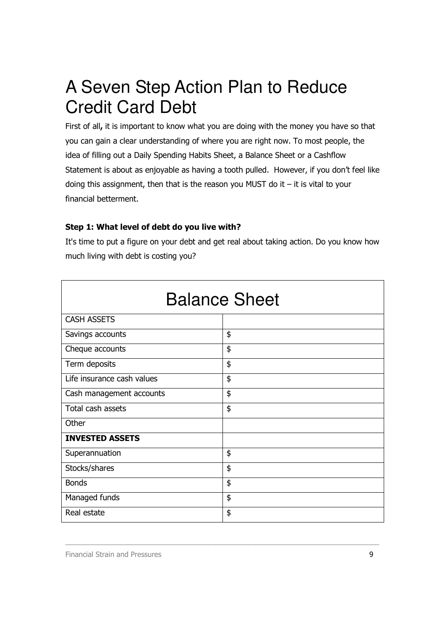# A Seven Step Action Plan to Reduce Credit Card Debt

First of all, it is important to know what you are doing with the money you have so that you can gain a clear understanding of where you are right now. To most people, the idea of filling out a Daily Spending Habits Sheet, a Balance Sheet or a Cashflow Statement is about as enjoyable as having a tooth pulled. However, if you don't feel like doing this assignment, then that is the reason you MUST do it  $-$  it is vital to your financial betterment.

### Step 1: What level of debt do you live with?

It's time to put a figure on your debt and get real about taking action. Do you know how much living with debt is costing you?

| <b>Balance Sheet</b>       |    |  |
|----------------------------|----|--|
| <b>CASH ASSETS</b>         |    |  |
| Savings accounts           | \$ |  |
| Cheque accounts            | \$ |  |
| Term deposits              | \$ |  |
| Life insurance cash values | \$ |  |
| Cash management accounts   | \$ |  |
| Total cash assets          | \$ |  |
| Other                      |    |  |
| <b>INVESTED ASSETS</b>     |    |  |
| Superannuation             | \$ |  |
| Stocks/shares              | \$ |  |
| <b>Bonds</b>               | \$ |  |
| Managed funds              | \$ |  |
| Real estate                | \$ |  |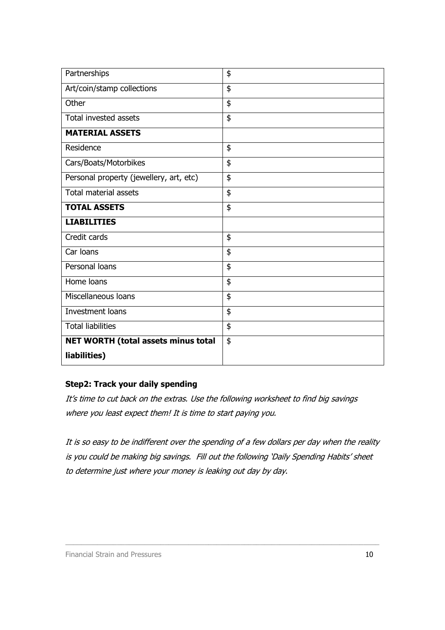| Partnerships                               | \$ |
|--------------------------------------------|----|
| Art/coin/stamp collections                 | \$ |
| Other                                      | \$ |
| Total invested assets                      | \$ |
| <b>MATERIAL ASSETS</b>                     |    |
| Residence                                  | \$ |
| Cars/Boats/Motorbikes                      | \$ |
| Personal property (jewellery, art, etc)    | \$ |
| <b>Total material assets</b>               | \$ |
| <b>TOTAL ASSETS</b>                        | \$ |
| <b>LIABILITIES</b>                         |    |
| Credit cards                               | \$ |
| Car Ioans                                  | \$ |
| Personal loans                             | \$ |
| Home loans                                 | \$ |
| Miscellaneous loans                        | \$ |
| Investment loans                           | \$ |
| <b>Total liabilities</b>                   | \$ |
| <b>NET WORTH (total assets minus total</b> | \$ |
| liabilities)                               |    |

### Step2: Track your daily spending

It's time to cut back on the extras. Use the following worksheet to find big savings where you least expect them! It is time to start paying you.

It is so easy to be indifferent over the spending of a few dollars per day when the reality is you could be making big savings. Fill out the following 'Daily Spending Habits' sheet to determine just where your money is leaking out day by day.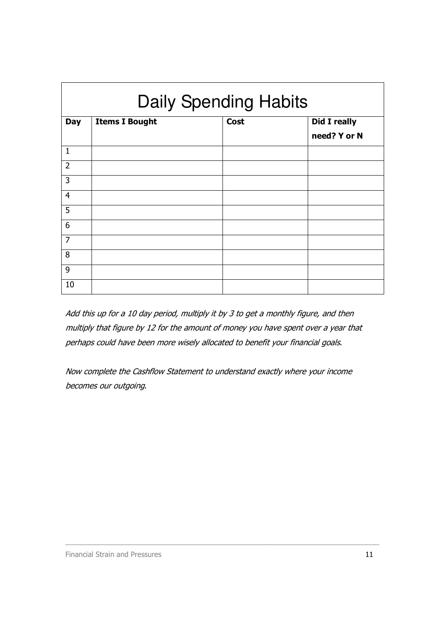| <b>Daily Spending Habits</b> |                       |             |                     |
|------------------------------|-----------------------|-------------|---------------------|
| <b>Day</b>                   | <b>Items I Bought</b> | <b>Cost</b> | <b>Did I really</b> |
|                              |                       |             | need? Y or N        |
| $\mathbf{1}$                 |                       |             |                     |
| $\overline{2}$               |                       |             |                     |
| 3                            |                       |             |                     |
| $\overline{4}$               |                       |             |                     |
| 5                            |                       |             |                     |
| 6                            |                       |             |                     |
| $\overline{7}$               |                       |             |                     |
| 8                            |                       |             |                     |
| 9                            |                       |             |                     |
| 10                           |                       |             |                     |

Add this up for a 10 day period, multiply it by 3 to get a monthly figure, and then multiply that figure by 12 for the amount of money you have spent over a year that perhaps could have been more wisely allocated to benefit your financial goals.

Now complete the Cashflow Statement to understand exactly where your income becomes our outgoing.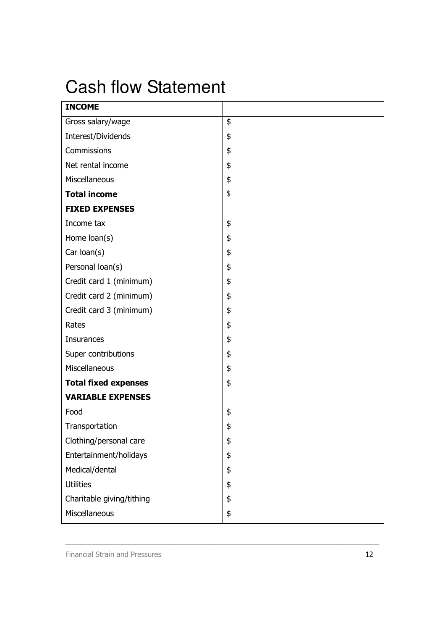# Cash flow Statement

| <b>INCOME</b>               |    |
|-----------------------------|----|
| Gross salary/wage           | \$ |
| Interest/Dividends          | \$ |
| Commissions                 | \$ |
| Net rental income           | \$ |
| Miscellaneous               | \$ |
| <b>Total income</b>         | \$ |
| <b>FIXED EXPENSES</b>       |    |
| Income tax                  | \$ |
| Home loan(s)                | \$ |
| Car loan(s)                 | \$ |
| Personal loan(s)            | \$ |
| Credit card 1 (minimum)     | \$ |
| Credit card 2 (minimum)     | \$ |
| Credit card 3 (minimum)     | \$ |
| Rates                       | \$ |
| <b>Insurances</b>           | \$ |
| Super contributions         | \$ |
| Miscellaneous               | \$ |
| <b>Total fixed expenses</b> | \$ |
| <b>VARIABLE EXPENSES</b>    |    |
| Food                        | \$ |
| Transportation              | \$ |
| Clothing/personal care      | \$ |
| Entertainment/holidays      | \$ |
| Medical/dental              | \$ |
| <b>Utilities</b>            | \$ |
| Charitable giving/tithing   | \$ |
| Miscellaneous               | \$ |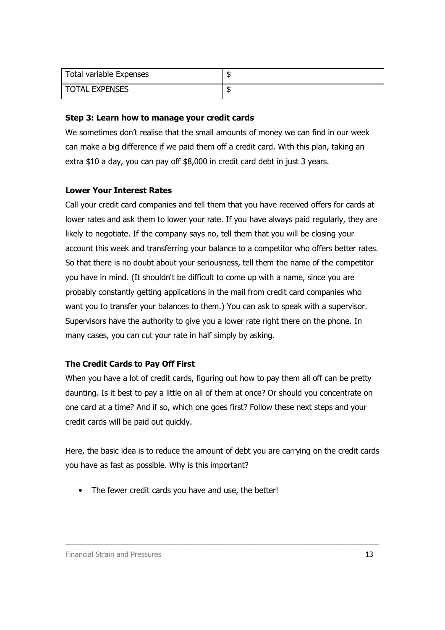| Total variable Expenses |    |
|-------------------------|----|
| <b>TOTAL EXPENSES</b>   | J. |

#### Step 3: Learn how to manage your credit cards

We sometimes don't realise that the small amounts of money we can find in our week can make a big difference if we paid them off a credit card. With this plan, taking an extra \$10 a day, you can pay off \$8,000 in credit card debt in just 3 years.

### Lower Your Interest Rates

Call your credit card companies and tell them that you have received offers for cards at lower rates and ask them to lower your rate. If you have always paid regularly, they are likely to negotiate. If the company says no, tell them that you will be closing your account this week and transferring your balance to a competitor who offers better rates. So that there is no doubt about your seriousness, tell them the name of the competitor you have in mind. (It shouldn't be difficult to come up with a name, since you are probably constantly getting applications in the mail from credit card companies who want you to transfer your balances to them.) You can ask to speak with a supervisor. Supervisors have the authority to give you a lower rate right there on the phone. In many cases, you can cut your rate in half simply by asking.

### The Credit Cards to Pay Off First

When you have a lot of credit cards, figuring out how to pay them all off can be pretty daunting. Is it best to pay a little on all of them at once? Or should you concentrate on one card at a time? And if so, which one goes first? Follow these next steps and your credit cards will be paid out quickly.

Here, the basic idea is to reduce the amount of debt you are carrying on the credit cards you have as fast as possible. Why is this important?

\_\_\_\_\_\_\_\_\_\_\_\_\_\_\_\_\_\_\_\_\_\_\_\_\_\_\_\_\_\_\_\_\_\_\_\_\_\_\_\_\_\_\_\_\_\_\_\_\_\_\_\_\_\_\_\_\_\_\_\_\_\_\_\_\_\_\_\_\_\_\_\_\_\_\_\_\_\_\_

• The fewer credit cards you have and use, the better!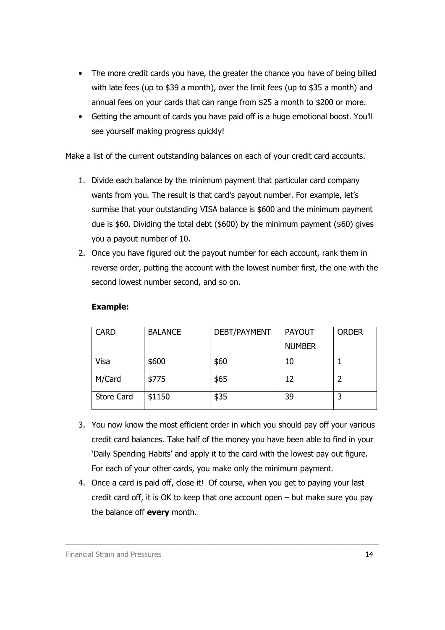- The more credit cards you have, the greater the chance you have of being billed with late fees (up to \$39 a month), over the limit fees (up to \$35 a month) and annual fees on your cards that can range from \$25 a month to \$200 or more.
- Getting the amount of cards you have paid off is a huge emotional boost. You'll see yourself making progress quickly!

Make a list of the current outstanding balances on each of your credit card accounts.

- 1. Divide each balance by the minimum payment that particular card company wants from you. The result is that card's payout number. For example, let's surmise that your outstanding VISA balance is \$600 and the minimum payment due is \$60. Dividing the total debt (\$600) by the minimum payment (\$60) gives you a payout number of 10.
- 2. Once you have figured out the payout number for each account, rank them in reverse order, putting the account with the lowest number first, the one with the second lowest number second, and so on.

| <b>CARD</b>       | <b>BALANCE</b> | DEBT/PAYMENT | <b>PAYOUT</b> | <b>ORDER</b> |
|-------------------|----------------|--------------|---------------|--------------|
|                   |                |              | <b>NUMBER</b> |              |
| Visa              | \$600          | \$60         | 10            |              |
| M/Card            | \$775          | \$65         | 12            |              |
| <b>Store Card</b> | \$1150         | \$35         | 39            |              |

#### Example:

- 3. You now know the most efficient order in which you should pay off your various credit card balances. Take half of the money you have been able to find in your 'Daily Spending Habits' and apply it to the card with the lowest pay out figure. For each of your other cards, you make only the minimum payment.
- 4. Once a card is paid off, close it! Of course, when you get to paying your last credit card off, it is OK to keep that one account open  $-$  but make sure you pay the balance off **every** month.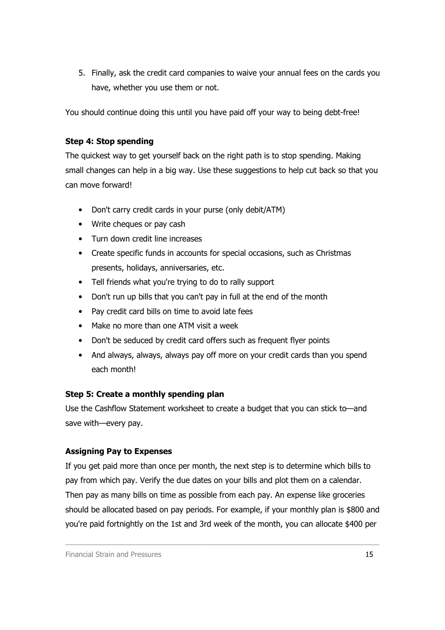5. Finally, ask the credit card companies to waive your annual fees on the cards you have, whether you use them or not.

You should continue doing this until you have paid off your way to being debt-free!

### Step 4: Stop spending

The quickest way to get yourself back on the right path is to stop spending. Making small changes can help in a big way. Use these suggestions to help cut back so that you can move forward!

- Don't carry credit cards in your purse (only debit/ATM)
- Write cheques or pay cash
- Turn down credit line increases
- Create specific funds in accounts for special occasions, such as Christmas presents, holidays, anniversaries, etc.
- Tell friends what you're trying to do to rally support
- Don't run up bills that you can't pay in full at the end of the month
- Pay credit card bills on time to avoid late fees
- Make no more than one ATM visit a week
- Don't be seduced by credit card offers such as frequent flyer points
- And always, always, always pay off more on your credit cards than you spend each month!

### Step 5: Create a monthly spending plan

Use the Cashflow Statement worksheet to create a budget that you can stick to—and save with—every pay.

### Assigning Pay to Expenses

If you get paid more than once per month, the next step is to determine which bills to pay from which pay. Verify the due dates on your bills and plot them on a calendar. Then pay as many bills on time as possible from each pay. An expense like groceries should be allocated based on pay periods. For example, if your monthly plan is \$800 and you're paid fortnightly on the 1st and 3rd week of the month, you can allocate \$400 per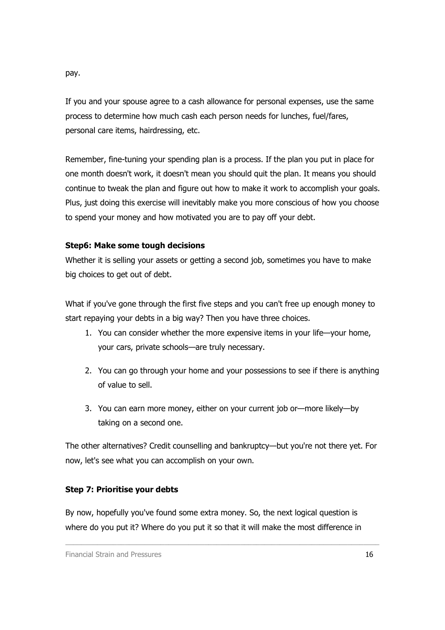pay.

If you and your spouse agree to a cash allowance for personal expenses, use the same process to determine how much cash each person needs for lunches, fuel/fares, personal care items, hairdressing, etc.

Remember, fine-tuning your spending plan is a process. If the plan you put in place for one month doesn't work, it doesn't mean you should quit the plan. It means you should continue to tweak the plan and figure out how to make it work to accomplish your goals. Plus, just doing this exercise will inevitably make you more conscious of how you choose to spend your money and how motivated you are to pay off your debt.

### Step6: Make some tough decisions

Whether it is selling your assets or getting a second job, sometimes you have to make big choices to get out of debt.

What if you've gone through the first five steps and you can't free up enough money to start repaying your debts in a big way? Then you have three choices.

- 1. You can consider whether the more expensive items in your life—your home, your cars, private schools—are truly necessary.
- 2. You can go through your home and your possessions to see if there is anything of value to sell.
- 3. You can earn more money, either on your current job or—more likely—by taking on a second one.

The other alternatives? Credit counselling and bankruptcy—but you're not there yet. For now, let's see what you can accomplish on your own.

### Step 7: Prioritise your debts

By now, hopefully you've found some extra money. So, the next logical question is where do you put it? Where do you put it so that it will make the most difference in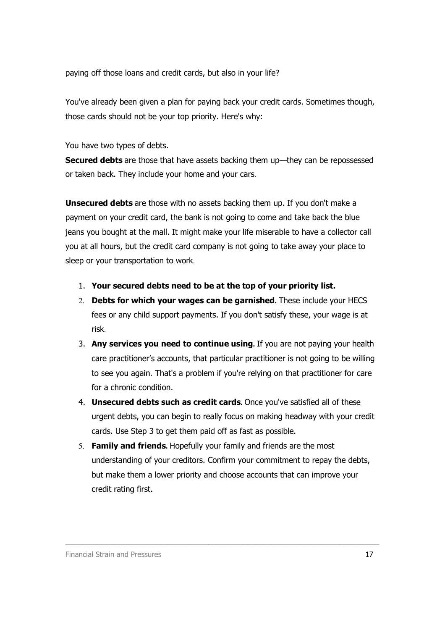paying off those loans and credit cards, but also in your life?

You've already been given a plan for paying back your credit cards. Sometimes though, those cards should not be your top priority. Here's why:

You have two types of debts.

Secured debts are those that have assets backing them up—they can be repossessed or taken back. They include your home and your cars.

**Unsecured debts** are those with no assets backing them up. If you don't make a payment on your credit card, the bank is not going to come and take back the blue jeans you bought at the mall. It might make your life miserable to have a collector call you at all hours, but the credit card company is not going to take away your place to sleep or your transportation to work.

- 1. Your secured debts need to be at the top of your priority list.
- 2. Debts for which your wages can be garnished**.** These include your HECS fees or any child support payments. If you don't satisfy these, your wage is at risk.
- 3. Any services you need to continue using**.** If you are not paying your health care practitioner's accounts, that particular practitioner is not going to be willing to see you again. That's a problem if you're relying on that practitioner for care for a chronic condition.
- 4. Unsecured debts such as credit cards**.** Once you've satisfied all of these urgent debts, you can begin to really focus on making headway with your credit cards. Use Step 3 to get them paid off as fast as possible.
- 5. Family and friends**.** Hopefully your family and friends are the most understanding of your creditors. Confirm your commitment to repay the debts, but make them a lower priority and choose accounts that can improve your credit rating first.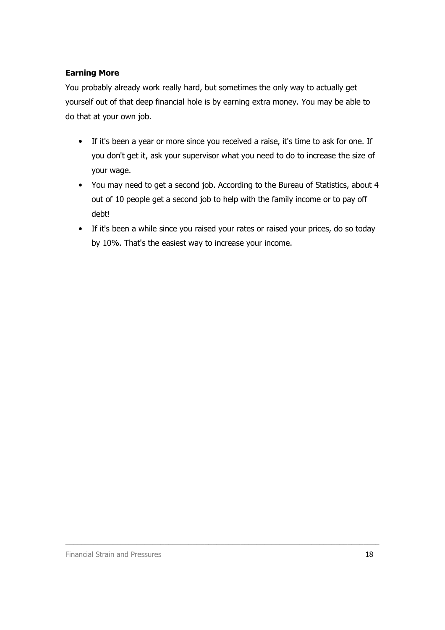### Earning More

You probably already work really hard, but sometimes the only way to actually get yourself out of that deep financial hole is by earning extra money. You may be able to do that at your own job.

- If it's been a year or more since you received a raise, it's time to ask for one. If you don't get it, ask your supervisor what you need to do to increase the size of your wage.
- You may need to get a second job. According to the Bureau of Statistics, about 4 out of 10 people get a second job to help with the family income or to pay off debt!
- If it's been a while since you raised your rates or raised your prices, do so today by 10%. That's the easiest way to increase your income.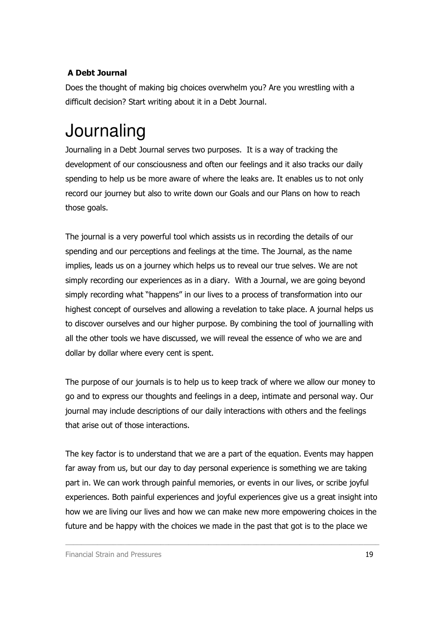### A Debt Journal

Does the thought of making big choices overwhelm you? Are you wrestling with a difficult decision? Start writing about it in a Debt Journal.

# **Journaling**

Journaling in a Debt Journal serves two purposes. It is a way of tracking the development of our consciousness and often our feelings and it also tracks our daily spending to help us be more aware of where the leaks are. It enables us to not only record our journey but also to write down our Goals and our Plans on how to reach those goals.

The journal is a very powerful tool which assists us in recording the details of our spending and our perceptions and feelings at the time. The Journal, as the name implies, leads us on a journey which helps us to reveal our true selves. We are not simply recording our experiences as in a diary. With a Journal, we are going beyond simply recording what "happens" in our lives to a process of transformation into our highest concept of ourselves and allowing a revelation to take place. A journal helps us to discover ourselves and our higher purpose. By combining the tool of journalling with all the other tools we have discussed, we will reveal the essence of who we are and dollar by dollar where every cent is spent.

The purpose of our journals is to help us to keep track of where we allow our money to go and to express our thoughts and feelings in a deep, intimate and personal way. Our journal may include descriptions of our daily interactions with others and the feelings that arise out of those interactions.

The key factor is to understand that we are a part of the equation. Events may happen far away from us, but our day to day personal experience is something we are taking part in. We can work through painful memories, or events in our lives, or scribe joyful experiences. Both painful experiences and joyful experiences give us a great insight into how we are living our lives and how we can make new more empowering choices in the future and be happy with the choices we made in the past that got is to the place we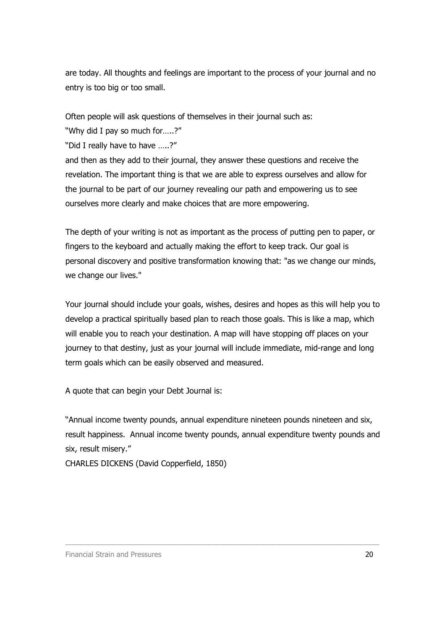are today. All thoughts and feelings are important to the process of your journal and no entry is too big or too small.

Often people will ask questions of themselves in their journal such as:

"Why did I pay so much for…..?"

"Did I really have to have …..?"

and then as they add to their journal, they answer these questions and receive the revelation. The important thing is that we are able to express ourselves and allow for the journal to be part of our journey revealing our path and empowering us to see ourselves more clearly and make choices that are more empowering.

The depth of your writing is not as important as the process of putting pen to paper, or fingers to the keyboard and actually making the effort to keep track. Our goal is personal discovery and positive transformation knowing that: "as we change our minds, we change our lives."

Your journal should include your goals, wishes, desires and hopes as this will help you to develop a practical spiritually based plan to reach those goals. This is like a map, which will enable you to reach your destination. A map will have stopping off places on your journey to that destiny, just as your journal will include immediate, mid-range and long term goals which can be easily observed and measured.

A quote that can begin your Debt Journal is:

"Annual income twenty pounds, annual expenditure nineteen pounds nineteen and six, result happiness. Annual income twenty pounds, annual expenditure twenty pounds and six, result misery."

\_\_\_\_\_\_\_\_\_\_\_\_\_\_\_\_\_\_\_\_\_\_\_\_\_\_\_\_\_\_\_\_\_\_\_\_\_\_\_\_\_\_\_\_\_\_\_\_\_\_\_\_\_\_\_\_\_\_\_\_\_\_\_\_\_\_\_\_\_\_\_\_\_\_\_\_\_\_\_

CHARLES DICKENS (David Copperfield, 1850)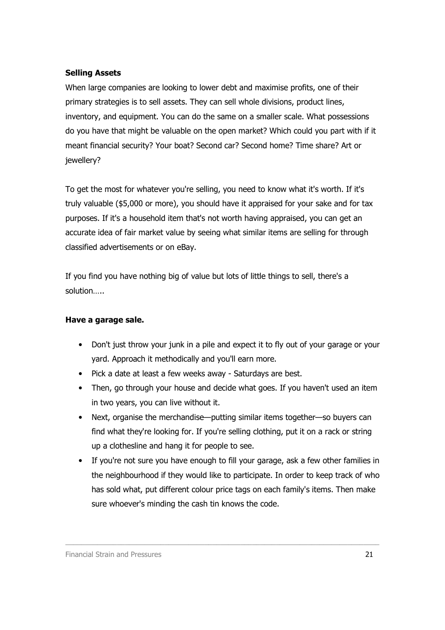### Selling Assets

When large companies are looking to lower debt and maximise profits, one of their primary strategies is to sell assets. They can sell whole divisions, product lines, inventory, and equipment. You can do the same on a smaller scale. What possessions do you have that might be valuable on the open market? Which could you part with if it meant financial security? Your boat? Second car? Second home? Time share? Art or jewellery?

To get the most for whatever you're selling, you need to know what it's worth. If it's truly valuable (\$5,000 or more), you should have it appraised for your sake and for tax purposes. If it's a household item that's not worth having appraised, you can get an accurate idea of fair market value by seeing what similar items are selling for through classified advertisements or on eBay.

If you find you have nothing big of value but lots of little things to sell, there's a solution…..

### Have a garage sale.

- Don't just throw your junk in a pile and expect it to fly out of your garage or your yard. Approach it methodically and you'll earn more.
- Pick a date at least a few weeks away Saturdays are best.
- Then, go through your house and decide what goes. If you haven't used an item in two years, you can live without it.
- Next, organise the merchandise—putting similar items together—so buyers can find what they're looking for. If you're selling clothing, put it on a rack or string up a clothesline and hang it for people to see.
- If you're not sure you have enough to fill your garage, ask a few other families in the neighbourhood if they would like to participate. In order to keep track of who has sold what, put different colour price tags on each family's items. Then make sure whoever's minding the cash tin knows the code.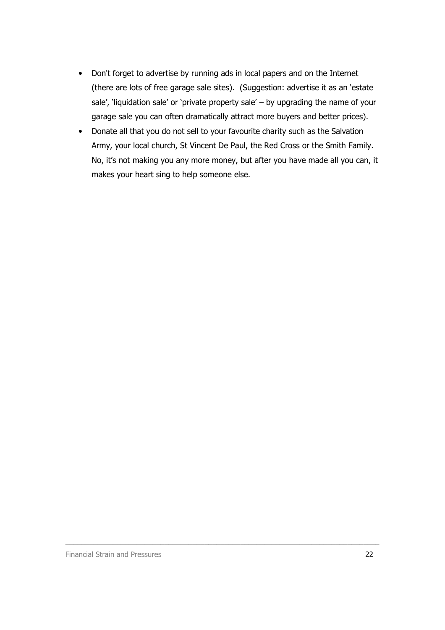- Don't forget to advertise by running ads in local papers and on the Internet (there are lots of free garage sale sites). (Suggestion: advertise it as an 'estate sale', 'liquidation sale' or 'private property sale' – by upgrading the name of your garage sale you can often dramatically attract more buyers and better prices).
- Donate all that you do not sell to your favourite charity such as the Salvation Army, your local church, St Vincent De Paul, the Red Cross or the Smith Family. No, it's not making you any more money, but after you have made all you can, it makes your heart sing to help someone else.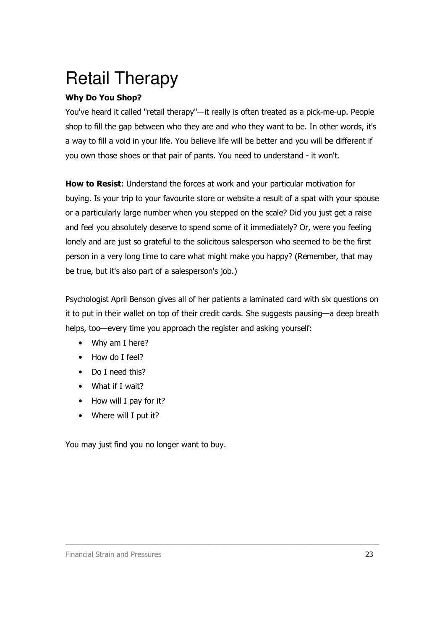# Retail Therapy

### Why Do You Shop?

You've heard it called "retail therapy"—it really is often treated as a pick-me-up. People shop to fill the gap between who they are and who they want to be. In other words, it's a way to fill a void in your life. You believe life will be better and you will be different if you own those shoes or that pair of pants. You need to understand - it won't.

How to Resist: Understand the forces at work and your particular motivation for buying. Is your trip to your favourite store or website a result of a spat with your spouse or a particularly large number when you stepped on the scale? Did you just get a raise and feel you absolutely deserve to spend some of it immediately? Or, were you feeling lonely and are just so grateful to the solicitous salesperson who seemed to be the first person in a very long time to care what might make you happy? (Remember, that may be true, but it's also part of a salesperson's job.)

Psychologist April Benson gives all of her patients a laminated card with six questions on it to put in their wallet on top of their credit cards. She suggests pausing—a deep breath helps, too—every time you approach the register and asking yourself:

\_\_\_\_\_\_\_\_\_\_\_\_\_\_\_\_\_\_\_\_\_\_\_\_\_\_\_\_\_\_\_\_\_\_\_\_\_\_\_\_\_\_\_\_\_\_\_\_\_\_\_\_\_\_\_\_\_\_\_\_\_\_\_\_\_\_\_\_\_\_\_\_\_\_\_\_\_\_\_

- Why am I here?
- How do I feel?
- Do I need this?
- What if I wait?
- How will I pay for it?
- Where will I put it?

You may just find you no longer want to buy.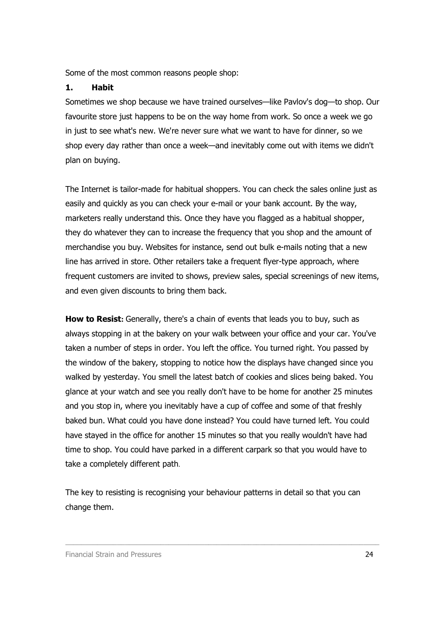Some of the most common reasons people shop:

#### 1. Habit

Sometimes we shop because we have trained ourselves—like Pavlov's dog—to shop. Our favourite store just happens to be on the way home from work. So once a week we go in just to see what's new. We're never sure what we want to have for dinner, so we shop every day rather than once a week—and inevitably come out with items we didn't plan on buying.

The Internet is tailor-made for habitual shoppers. You can check the sales online just as easily and quickly as you can check your e-mail or your bank account. By the way, marketers really understand this. Once they have you flagged as a habitual shopper, they do whatever they can to increase the frequency that you shop and the amount of merchandise you buy. Websites for instance, send out bulk e-mails noting that a new line has arrived in store. Other retailers take a frequent flyer-type approach, where frequent customers are invited to shows, preview sales, special screenings of new items, and even given discounts to bring them back.

How to Resist**:** Generally, there's a chain of events that leads you to buy, such as always stopping in at the bakery on your walk between your office and your car. You've taken a number of steps in order. You left the office. You turned right. You passed by the window of the bakery, stopping to notice how the displays have changed since you walked by yesterday. You smell the latest batch of cookies and slices being baked. You glance at your watch and see you really don't have to be home for another 25 minutes and you stop in, where you inevitably have a cup of coffee and some of that freshly baked bun. What could you have done instead? You could have turned left. You could have stayed in the office for another 15 minutes so that you really wouldn't have had time to shop. You could have parked in a different carpark so that you would have to take a completely different path.

The key to resisting is recognising your behaviour patterns in detail so that you can change them.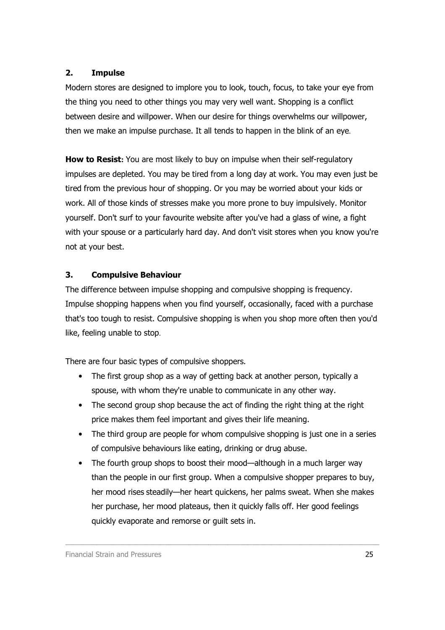### 2. Impulse

Modern stores are designed to implore you to look, touch, focus, to take your eve from the thing you need to other things you may very well want. Shopping is a conflict between desire and willpower. When our desire for things overwhelms our willpower, then we make an impulse purchase. It all tends to happen in the blink of an eye.

How to Resist: You are most likely to buy on impulse when their self-regulatory impulses are depleted. You may be tired from a long day at work. You may even just be tired from the previous hour of shopping. Or you may be worried about your kids or work. All of those kinds of stresses make you more prone to buy impulsively. Monitor yourself. Don't surf to your favourite website after you've had a glass of wine, a fight with your spouse or a particularly hard day. And don't visit stores when you know you're not at your best.

### 3. Compulsive Behaviour

The difference between impulse shopping and compulsive shopping is frequency. Impulse shopping happens when you find yourself, occasionally, faced with a purchase that's too tough to resist. Compulsive shopping is when you shop more often then you'd like, feeling unable to stop.

There are four basic types of compulsive shoppers.

- The first group shop as a way of getting back at another person, typically a spouse, with whom they're unable to communicate in any other way.
- The second group shop because the act of finding the right thing at the right price makes them feel important and gives their life meaning.
- The third group are people for whom compulsive shopping is just one in a series of compulsive behaviours like eating, drinking or drug abuse.
- The fourth group shops to boost their mood—although in a much larger way than the people in our first group. When a compulsive shopper prepares to buy, her mood rises steadily—her heart quickens, her palms sweat. When she makes her purchase, her mood plateaus, then it quickly falls off. Her good feelings quickly evaporate and remorse or guilt sets in.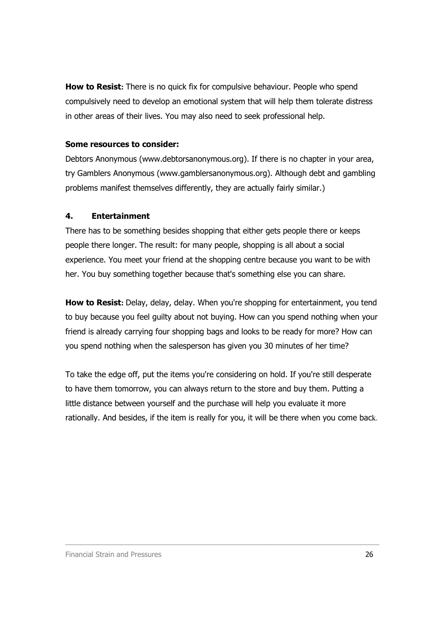How to Resist**:** There is no quick fix for compulsive behaviour. People who spend compulsively need to develop an emotional system that will help them tolerate distress in other areas of their lives. You may also need to seek professional help.

#### Some resources to consider:

Debtors Anonymous (www.debtorsanonymous.org). If there is no chapter in your area, try Gamblers Anonymous (www.gamblersanonymous.org). Although debt and gambling problems manifest themselves differently, they are actually fairly similar.)

### 4. Entertainment

There has to be something besides shopping that either gets people there or keeps people there longer. The result: for many people, shopping is all about a social experience. You meet your friend at the shopping centre because you want to be with her. You buy something together because that's something else you can share.

How to Resist**:** Delay, delay, delay. When you're shopping for entertainment, you tend to buy because you feel guilty about not buying. How can you spend nothing when your friend is already carrying four shopping bags and looks to be ready for more? How can you spend nothing when the salesperson has given you 30 minutes of her time?

To take the edge off, put the items you're considering on hold. If you're still desperate to have them tomorrow, you can always return to the store and buy them. Putting a little distance between yourself and the purchase will help you evaluate it more rationally. And besides, if the item is really for you, it will be there when you come back.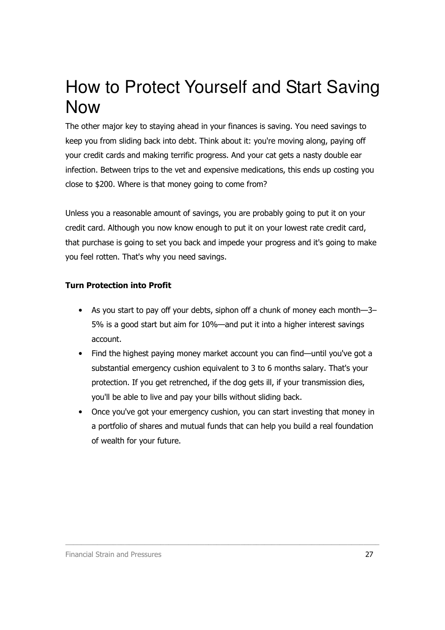# How to Protect Yourself and Start Saving Now

The other major key to staying ahead in your finances is saving. You need savings to keep you from sliding back into debt. Think about it: you're moving along, paying off your credit cards and making terrific progress. And your cat gets a nasty double ear infection. Between trips to the vet and expensive medications, this ends up costing you close to \$200. Where is that money going to come from?

Unless you a reasonable amount of savings, you are probably going to put it on your credit card. Although you now know enough to put it on your lowest rate credit card, that purchase is going to set you back and impede your progress and it's going to make you feel rotten. That's why you need savings.

### Turn Protection into Profit

- As you start to pay off your debts, siphon off a chunk of money each month—3– 5% is a good start but aim for 10%—and put it into a higher interest savings account.
- Find the highest paying money market account you can find—until you've got a substantial emergency cushion equivalent to 3 to 6 months salary. That's your protection. If you get retrenched, if the dog gets ill, if your transmission dies, you'll be able to live and pay your bills without sliding back.
- Once you've got your emergency cushion, you can start investing that money in a portfolio of shares and mutual funds that can help you build a real foundation of wealth for your future.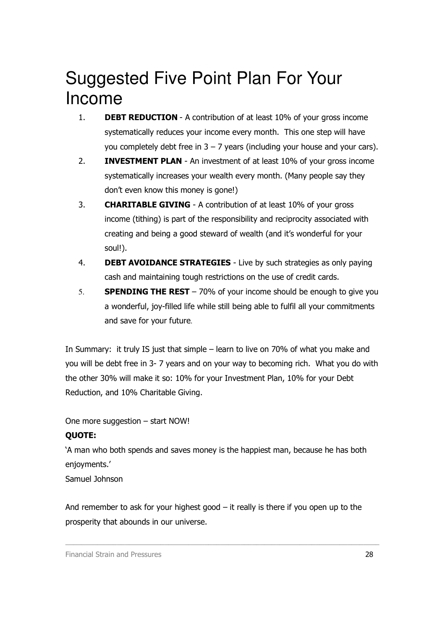# Suggested Five Point Plan For Your Income

- 1. **DEBT REDUCTION** A contribution of at least 10% of your gross income systematically reduces your income every month. This one step will have you completely debt free in  $3 - 7$  years (including your house and your cars).
- 2. **INVESTMENT PLAN** An investment of at least 10% of your gross income systematically increases your wealth every month. (Many people say they don't even know this money is gone!)
- 3. CHARITABLE GIVING A contribution of at least 10% of your gross income (tithing) is part of the responsibility and reciprocity associated with creating and being a good steward of wealth (and it's wonderful for your soul!).
- 4. **DEBT AVOIDANCE STRATEGIES** Live by such strategies as only paying cash and maintaining tough restrictions on the use of credit cards.
- 5. **SPENDING THE REST** 70% of your income should be enough to give you a wonderful, joy-filled life while still being able to fulfil all your commitments and save for your future.

In Summary: it truly IS just that simple – learn to live on 70% of what you make and you will be debt free in 3- 7 years and on your way to becoming rich. What you do with the other 30% will make it so: 10% for your Investment Plan, 10% for your Debt Reduction, and 10% Charitable Giving.

One more suggestion – start NOW!

### QUOTE:

'A man who both spends and saves money is the happiest man, because he has both enjoyments.'

Samuel Johnson

And remember to ask for your highest good – it really is there if you open up to the prosperity that abounds in our universe.

\_\_\_\_\_\_\_\_\_\_\_\_\_\_\_\_\_\_\_\_\_\_\_\_\_\_\_\_\_\_\_\_\_\_\_\_\_\_\_\_\_\_\_\_\_\_\_\_\_\_\_\_\_\_\_\_\_\_\_\_\_\_\_\_\_\_\_\_\_\_\_\_\_\_\_\_\_\_\_

Financial Strain and Pressures 28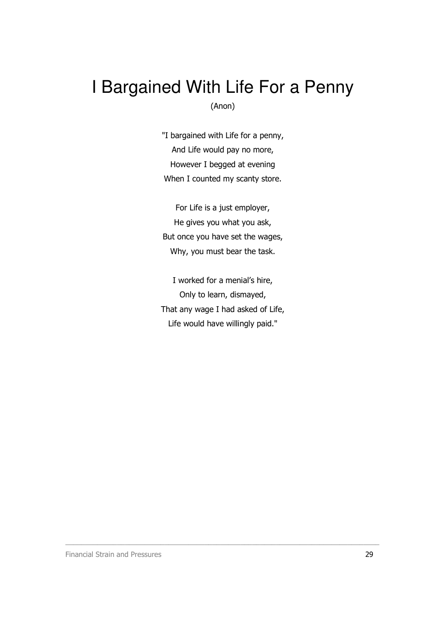## I Bargained With Life For a Penny (Anon)

"I bargained with Life for a penny, And Life would pay no more, However I begged at evening When I counted my scanty store.

For Life is a just employer, He gives you what you ask, But once you have set the wages, Why, you must bear the task.

I worked for a menial's hire, Only to learn, dismayed, That any wage I had asked of Life, Life would have willingly paid."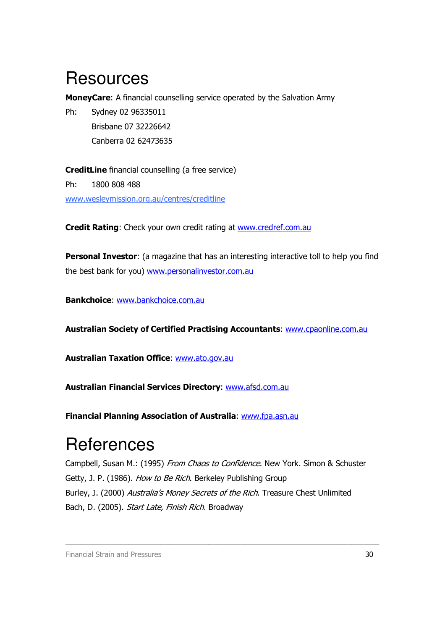# **Resources**

MoneyCare: A financial counselling service operated by the Salvation Army

Ph: Sydney 02 96335011 Brisbane 07 32226642 Canberra 02 62473635

CreditLine financial counselling (a free service) Ph: 1800 808 488 www.wesleymission.org.au/centres/creditline

Credit Rating: Check your own credit rating at www.credref.com.au

**Personal Investor:** (a magazine that has an interesting interactive toll to help you find the best bank for you) www.personalinvestor.com.au

Bankchoice: www.bankchoice.com.au

Australian Society of Certified Practising Accountants: www.cpaonline.com.au

Australian Taxation Office: www.ato.gov.au

Australian Financial Services Directory: www.afsd.com.au

Financial Planning Association of Australia: www.fpa.asn.au

# **References**

Campbell, Susan M.: (1995) From Chaos to Confidence. New York. Simon & Schuster Getty, J. P. (1986). How to Be Rich. Berkeley Publishing Group Burley, J. (2000) Australia's Money Secrets of the Rich. Treasure Chest Unlimited Bach, D. (2005). Start Late, Finish Rich. Broadway